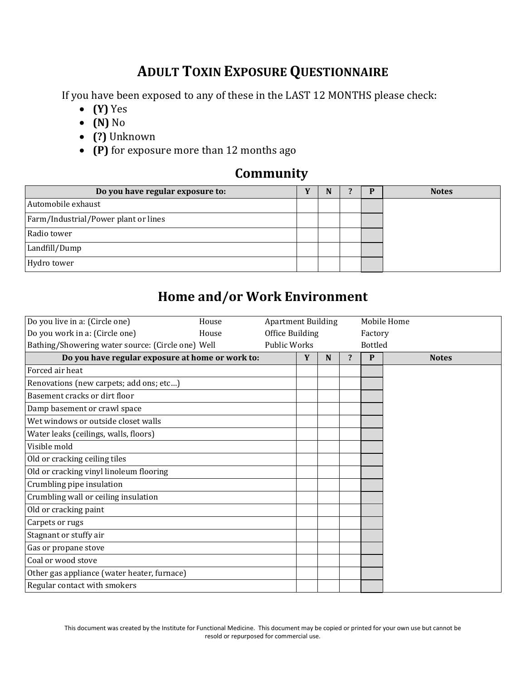# **ADULT TOXIN EXPOSURE QUESTIONNAIRE**

If you have been exposed to any of these in the LAST 12 MONTHS please check:

- **(Y)** Yes
- **(N)** No
- **(?)** Unknown
- **(P)** for exposure more than 12 months ago

#### **Community**

| Do you have regular exposure to:     | N | P | <b>Notes</b> |
|--------------------------------------|---|---|--------------|
| Automobile exhaust                   |   |   |              |
| Farm/Industrial/Power plant or lines |   |   |              |
| Radio tower                          |   |   |              |
| Landfill/Dump                        |   |   |              |
| Hydro tower                          |   |   |              |

#### **Home and/or Work Environment**

| Do you live in a: (Circle one)                    | House | <b>Apartment Building</b> |   |   |   |                | Mobile Home  |
|---------------------------------------------------|-------|---------------------------|---|---|---|----------------|--------------|
| Do you work in a: (Circle one)                    | House | Office Building           |   |   |   | Factory        |              |
| Bathing/Showering water source: (Circle one) Well |       | <b>Public Works</b>       |   |   |   | <b>Bottled</b> |              |
| Do you have regular exposure at home or work to:  |       |                           | Y | N | ? | P              | <b>Notes</b> |
| Forced air heat                                   |       |                           |   |   |   |                |              |
| Renovations (new carpets; add ons; etc)           |       |                           |   |   |   |                |              |
| Basement cracks or dirt floor                     |       |                           |   |   |   |                |              |
| Damp basement or crawl space                      |       |                           |   |   |   |                |              |
| Wet windows or outside closet walls               |       |                           |   |   |   |                |              |
| Water leaks (ceilings, walls, floors)             |       |                           |   |   |   |                |              |
| Visible mold                                      |       |                           |   |   |   |                |              |
| Old or cracking ceiling tiles                     |       |                           |   |   |   |                |              |
| Old or cracking vinyl linoleum flooring           |       |                           |   |   |   |                |              |
| Crumbling pipe insulation                         |       |                           |   |   |   |                |              |
| Crumbling wall or ceiling insulation              |       |                           |   |   |   |                |              |
| Old or cracking paint                             |       |                           |   |   |   |                |              |
| Carpets or rugs                                   |       |                           |   |   |   |                |              |
| Stagnant or stuffy air                            |       |                           |   |   |   |                |              |
| Gas or propane stove                              |       |                           |   |   |   |                |              |
| Coal or wood stove                                |       |                           |   |   |   |                |              |
| Other gas appliance (water heater, furnace)       |       |                           |   |   |   |                |              |
| Regular contact with smokers                      |       |                           |   |   |   |                |              |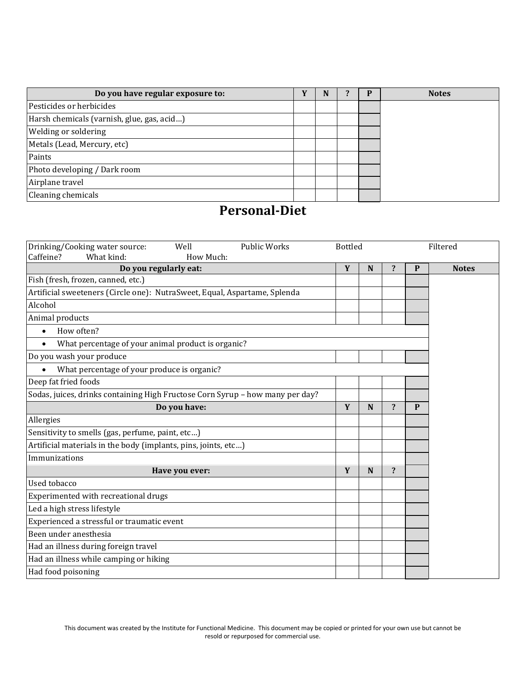| Do you have regular exposure to:           | v | N |  | <b>Notes</b> |
|--------------------------------------------|---|---|--|--------------|
| Pesticides or herbicides                   |   |   |  |              |
| Harsh chemicals (varnish, glue, gas, acid) |   |   |  |              |
| <b>Welding or soldering</b>                |   |   |  |              |
| Metals (Lead, Mercury, etc)                |   |   |  |              |
| Paints                                     |   |   |  |              |
| Photo developing / Dark room               |   |   |  |              |
| Airplane travel                            |   |   |  |              |
| Cleaning chemicals                         |   |   |  |              |

## **Personal-Diet**

| Drinking/Cooking water source:<br>Well<br><b>Public Works</b><br>Caffeine?<br>What kind:<br>How Much: | <b>Bottled</b><br>Filtered |             |                         |              |              |
|-------------------------------------------------------------------------------------------------------|----------------------------|-------------|-------------------------|--------------|--------------|
| Do you regularly eat:                                                                                 | Y                          | N           | $\overline{\mathbf{?}}$ | P            | <b>Notes</b> |
| Fish (fresh, frozen, canned, etc.)                                                                    |                            |             |                         |              |              |
| Artificial sweeteners (Circle one): NutraSweet, Equal, Aspartame, Splenda                             |                            |             |                         |              |              |
| Alcohol                                                                                               |                            |             |                         |              |              |
| Animal products                                                                                       |                            |             |                         |              |              |
| How often?<br>$\bullet$                                                                               |                            |             |                         |              |              |
| What percentage of your animal product is organic?                                                    |                            |             |                         |              |              |
| Do you wash your produce                                                                              |                            |             |                         |              |              |
| What percentage of your produce is organic?                                                           |                            |             |                         |              |              |
| Deep fat fried foods                                                                                  |                            |             |                         |              |              |
| Sodas, juices, drinks containing High Fructose Corn Syrup - how many per day?                         |                            |             |                         |              |              |
| Do you have:                                                                                          |                            |             | $\overline{\mathbf{?}}$ | $\mathbf{P}$ |              |
| Allergies                                                                                             |                            |             |                         |              |              |
| Sensitivity to smells (gas, perfume, paint, etc)                                                      |                            |             |                         |              |              |
| Artificial materials in the body (implants, pins, joints, etc)                                        |                            |             |                         |              |              |
| Immunizations                                                                                         |                            |             |                         |              |              |
| Have you ever:                                                                                        | Y                          | $\mathbf N$ | $\overline{\mathbf{?}}$ |              |              |
| Used tobacco                                                                                          |                            |             |                         |              |              |
| Experimented with recreational drugs                                                                  |                            |             |                         |              |              |
| Led a high stress lifestyle                                                                           |                            |             |                         |              |              |
| Experienced a stressful or traumatic event                                                            |                            |             |                         |              |              |
| Been under anesthesia                                                                                 |                            |             |                         |              |              |
| Had an illness during foreign travel                                                                  |                            |             |                         |              |              |
| Had an illness while camping or hiking                                                                |                            |             |                         |              |              |
| Had food poisoning                                                                                    |                            |             |                         |              |              |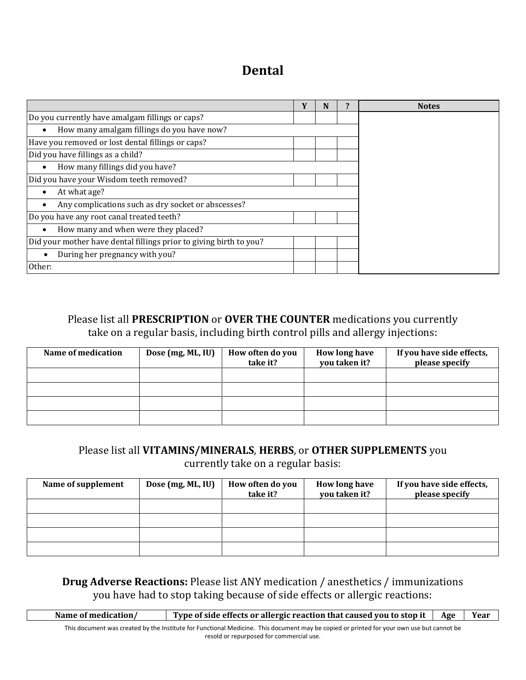## **Dental**

|                                                                    | N | <b>Notes</b> |
|--------------------------------------------------------------------|---|--------------|
| Do you currently have amalgam fillings or caps?                    |   |              |
| How many amalgam fillings do you have now?                         |   |              |
| Have you removed or lost dental fillings or caps?                  |   |              |
| Did you have fillings as a child?                                  |   |              |
| How many fillings did you have?                                    |   |              |
| Did you have your Wisdom teeth removed?                            |   |              |
| At what age?                                                       |   |              |
| Any complications such as dry socket or abscesses?                 |   |              |
| Do you have any root canal treated teeth?                          |   |              |
| How many and when were they placed?                                |   |              |
| Did your mother have dental fillings prior to giving birth to you? |   |              |
| During her pregnancy with you?                                     |   |              |
| Other:                                                             |   |              |

Please list all **PRESCRIPTION** or **OVER THE COUNTER** medications you currently take on a regular basis, including birth control pills and allergy injections:

| Name of medication | Dose (mg, ML, IU) | How often do you<br>take it? | How long have<br>you taken it? | If you have side effects,<br>please specify |
|--------------------|-------------------|------------------------------|--------------------------------|---------------------------------------------|
|                    |                   |                              |                                |                                             |
|                    |                   |                              |                                |                                             |
|                    |                   |                              |                                |                                             |
|                    |                   |                              |                                |                                             |

#### Please list all **VITAMINS/MINERALS**, **HERBS**, or **OTHER SUPPLEMENTS** you

currently take on a regular basis:

| Name of supplement | Dose (mg, ML, IU) | How often do you<br>take it? | How long have<br>you taken it? | If you have side effects,<br>please specify |
|--------------------|-------------------|------------------------------|--------------------------------|---------------------------------------------|
|                    |                   |                              |                                |                                             |
|                    |                   |                              |                                |                                             |
|                    |                   |                              |                                |                                             |
|                    |                   |                              |                                |                                             |

**Drug Adverse Reactions:** Please list ANY medication / anesthetics / immunizations you have had to stop taking because of side effects or allergic reactions:

| Name of medication/ | Type of side effects or allergic reaction that caused you to stop it | Age | Year |
|---------------------|----------------------------------------------------------------------|-----|------|
|                     |                                                                      |     |      |

This document was created by the Institute for Functional Medicine. This document may be copied or printed for your own use but cannot be resold or repurposed for commercial use.